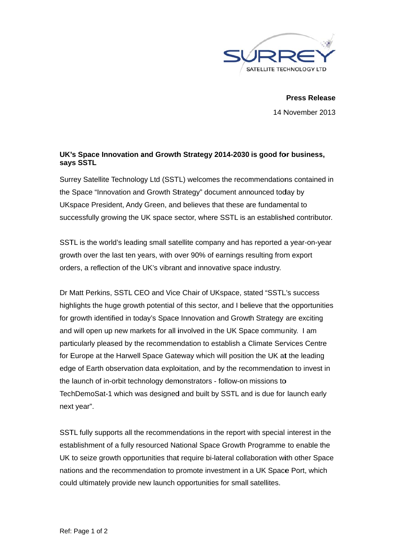

**Press Release** 14 November 2013

## UK's Space Innovation and Growth Strategy 2014-2030 is good for business, says SSTL

Surrey Satellite Technology Ltd (SSTL) welcomes the recommendations contained in the Space "Innovation and Growth Strategy" document announced today by UKspace President, Andy Green, and believes that these are fundamental to successfully growing the UK space sector, where SSTL is an established contributor.

SSTL is the world's leading small satellite company and has reported a year-on-year growth over the last ten years, with over 90% of earnings resulting from export orders, a reflection of the UK's vibrant and innovative space industry.

Dr Matt Perkins, SSTL CEO and Vice Chair of UKspace, stated "SSTL's success highlights the huge growth potential of this sector, and I believe that the opportunities for growth identified in today's Space Innovation and Growth Strategy are exciting and will open up new markets for all involved in the UK Space community. I am particularly pleased by the recommendation to establish a Climate Services Centre for Europe at the Harwell Space Gateway which will position the UK at the leading edge of Earth observation data exploitation, and by the recommendation to invest in the launch of in-orbit technology demonstrators - follow-on missions to TechDemoSat-1 which was designed and built by SSTL and is due for launch early next year".

SSTL fully supports all the recommendations in the report with special interest in the establishment of a fully resourced National Space Growth Programme to enable the UK to seize growth opportunities that require bi-lateral collaboration with other Space nations and the recommendation to promote investment in a UK Space Port, which could ultimately provide new launch opportunities for small satellites.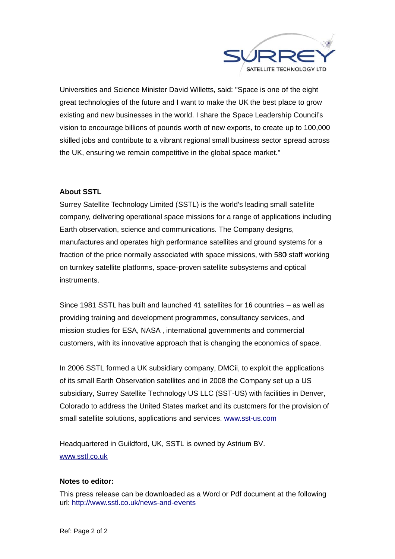

Universities and Science Minister David Willetts, said: "Space is one of the eight great technologies of the future and I want to make the UK the best place to grow existing and new businesses in the world. I share the Space Leadership Council's vision to encourage billions of pounds worth of new exports, to create up to 100,000 skilled jobs and contribute to a vibrant regional small business sector spread across the UK, ensuring we remain competitive in the global space market."

## **About SSTL**

Surrey Satellite Technology Limited (SSTL) is the world's leading small satellite company, delivering operational space missions for a range of applications including Earth observation, science and communications. The Company designs, manufactures and operates high performance satellites and ground systems for a fraction of the price normally associated with space missions, with 580 staff working on turnkey satellite platforms, space-proven satellite subsystems and optical instruments.

Since 1981 SSTL has built and launched 41 satellites for 16 countries - as well as providing training and development programmes, consultancy services, and mission studies for ESA, NASA, international governments and commercial customers, with its innovative approach that is changing the economics of space.

In 2006 SSTL formed a UK subsidiary company, DMCii, to exploit the applications of its small Earth Observation satellites and in 2008 the Company set up a US subsidiary, Surrey Satellite Technology US LLC (SST-US) with facilities in Denver, Colorado to address the United States market and its customers for the provision of small satellite solutions, applications and services. www.sst-us.com

Headquartered in Guildford, UK, SSTL is owned by Astrium BV. www.sstl.co.uk

## Notes to editor:

This press release can be downloaded as a Word or Pdf document at the following url: http://www.sstl.co.uk/news-and-events